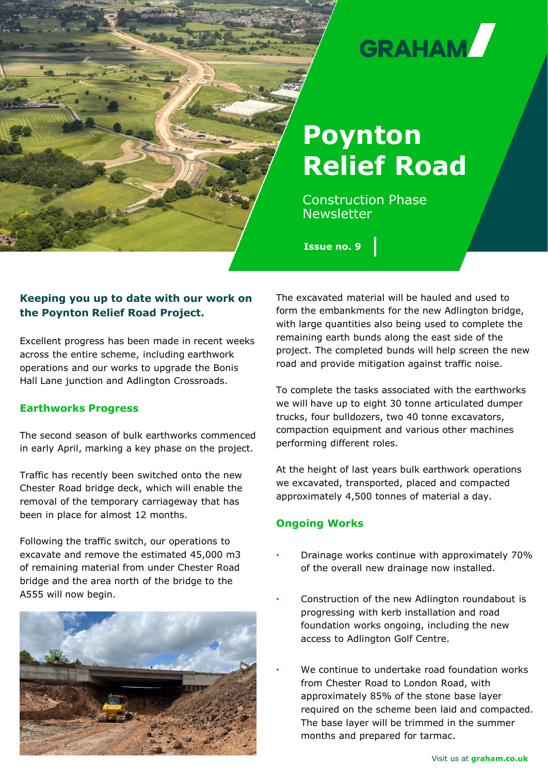

# **GRAHAM**

# **Poynton Relief Road**

Construction Phase Newsletter

**Issue no. 9**

# **Keeping you up to date with our work on the Poynton Relief Road Project.**

Excellent progress has been made in recent weeks across the entire scheme, including earthwork operations and our works to upgrade the Bonis Hall Lane junction and Adlington Crossroads.

# **Earthworks Progress**

The second season of bulk earthworks commenced in early April, marking a key phase on the project.

Traffic has recently been switched onto the new Chester Road bridge deck, which will enable the removal of the temporary carriageway that has been in place for almost 12 months.

Following the traffic switch, our operations to excavate and remove the estimated 45,000 m3 of remaining material from under Chester Road bridge and the area north of the bridge to the A555 will now begin.



The excavated material will be hauled and used to form the embankments for the new Adlington bridge, with large quantities also being used to complete the remaining earth bunds along the east side of the project. The completed bunds will help screen the new road and provide mitigation against traffic noise.

To complete the tasks associated with the earthworks we will have up to eight 30 tonne articulated dumper trucks, four bulldozers, two 40 tonne excavators, compaction equipment and various other machines performing different roles.

At the height of last years bulk earthwork operations we excavated, transported, placed and compacted approximately 4,500 tonnes of material a day.

# **Ongoing Works**

- Drainage works continue with approximately 70% of the overall new drainage now installed.
- Construction of the new Adlington roundabout is progressing with kerb installation and road foundation works ongoing, including the new access to Adlington Golf Centre.
- We continue to undertake road foundation works from Chester Road to London Road, with approximately 85% of the stone base layer required on the scheme been laid and compacted. The base layer will be trimmed in the summer months and prepared for tarmac.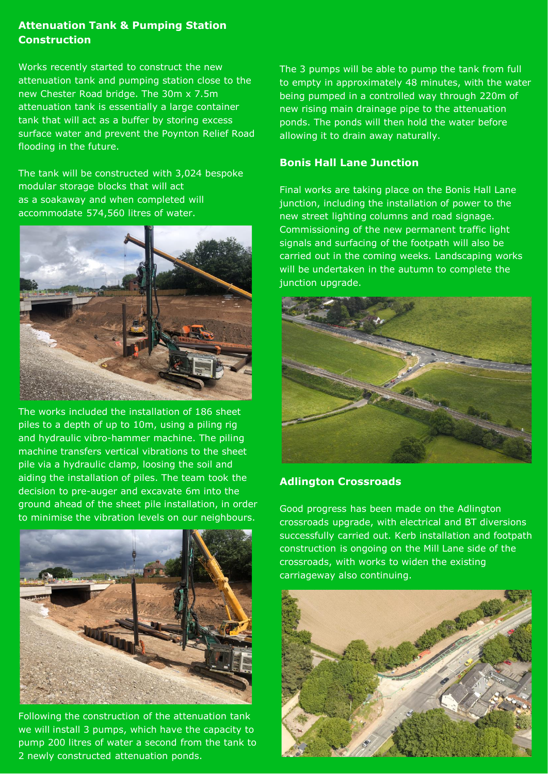# **Attenuation Tank & Pumping Station Construction**

Works recently started to construct the new attenuation tank and pumping station close to the new Chester Road bridge. The 30m x 7.5m attenuation tank is essentially a large container tank that will act as a buffer by storing excess surface water and prevent the Poynton Relief Road flooding in the future.

The tank will be constructed with 3,024 bespoke modular storage blocks that will act as a soakaway and when completed will accommodate 574,560 litres of water.



The works included the installation of 186 sheet piles to a depth of up to 10m, using a piling rig and hydraulic vibro-hammer machine. The piling machine transfers vertical vibrations to the sheet pile via a hydraulic clamp, loosing the soil and aiding the installation of piles. The team took the decision to pre-auger and excavate 6m into the ground ahead of the sheet pile installation, in order to minimise the vibration levels on our neighbours.



Following the construction of the attenuation tank we will install 3 pumps, which have the capacity to pump 200 litres of water a second from the tank to 2 newly constructed attenuation ponds.

The 3 pumps will be able to pump the tank from full to empty in approximately 48 minutes, with the water being pumped in a controlled way through 220m of new rising main drainage pipe to the attenuation ponds. The ponds will then hold the water before allowing it to drain away naturally.

# **Bonis Hall Lane Junction**

Final works are taking place on the Bonis Hall Lane junction, including the installation of power to the new street lighting columns and road signage. Commissioning of the new permanent traffic light signals and surfacing of the footpath will also be carried out in the coming weeks. Landscaping works will be undertaken in the autumn to complete the junction upgrade.



#### **Adlington Crossroads**

Good progress has been made on the Adlington crossroads upgrade, with electrical and BT diversions successfully carried out. Kerb installation and footpath construction is ongoing on the Mill Lane side of the crossroads, with works to widen the existing carriageway also continuing.